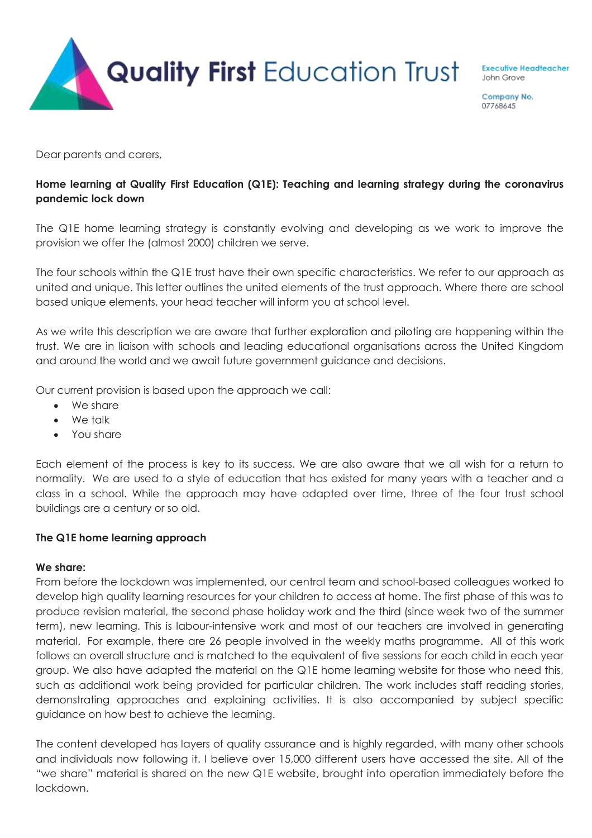

**Executive Headteacher** John Grove

Company No. 07768645

Dear parents and carers,

# **Home learning at Quality First Education (Q1E): Teaching and learning strategy during the coronavirus pandemic lock down**

The Q1E home learning strategy is constantly evolving and developing as we work to improve the provision we offer the (almost 2000) children we serve.

The four schools within the Q1E trust have their own specific characteristics. We refer to our approach as united and unique. This letter outlines the united elements of the trust approach. Where there are school based unique elements, your head teacher will inform you at school level.

As we write this description we are aware that further exploration and piloting are happening within the trust. We are in liaison with schools and leading educational organisations across the United Kingdom and around the world and we await future government guidance and decisions.

Our current provision is based upon the approach we call:

- We share
- We talk
- You share

Each element of the process is key to its success. We are also aware that we all wish for a return to normality. We are used to a style of education that has existed for many years with a teacher and a class in a school. While the approach may have adapted over time, three of the four trust school buildings are a century or so old.

### **The Q1E home learning approach**

### **We share:**

From before the lockdown was implemented, our central team and school-based colleagues worked to develop high quality learning resources for your children to access at home. The first phase of this was to produce revision material, the second phase holiday work and the third (since week two of the summer term), new learning. This is labour-intensive work and most of our teachers are involved in generating material. For example, there are 26 people involved in the weekly maths programme. All of this work follows an overall structure and is matched to the equivalent of five sessions for each child in each year group. We also have adapted the material on the Q1E home learning website for those who need this, such as additional work being provided for particular children. The work includes staff reading stories, demonstrating approaches and explaining activities. It is also accompanied by subject specific guidance on how best to achieve the learning.

The content developed has layers of quality assurance and is highly regarded, with many other schools and individuals now following it. I believe over 15,000 different users have accessed the site. All of the "we share" material is shared on the new Q1E website, brought into operation immediately before the lockdown.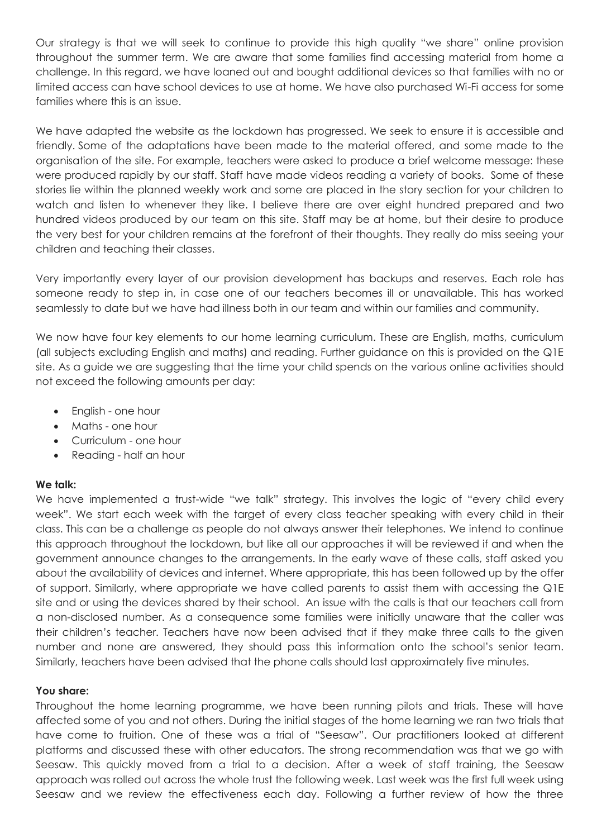Our strategy is that we will seek to continue to provide this high quality "we share" online provision throughout the summer term. We are aware that some families find accessing material from home a challenge. In this regard, we have loaned out and bought additional devices so that families with no or limited access can have school devices to use at home. We have also purchased Wi-Fi access for some families where this is an issue.

We have adapted the website as the lockdown has progressed. We seek to ensure it is accessible and friendly. Some of the adaptations have been made to the material offered, and some made to the organisation of the site. For example, teachers were asked to produce a brief welcome message: these were produced rapidly by our staff. Staff have made videos reading a variety of books. Some of these stories lie within the planned weekly work and some are placed in the story section for your children to watch and listen to whenever they like. I believe there are over eight hundred prepared and two hundred videos produced by our team on this site. Staff may be at home, but their desire to produce the very best for your children remains at the forefront of their thoughts. They really do miss seeing your children and teaching their classes.

Very importantly every layer of our provision development has backups and reserves. Each role has someone ready to step in, in case one of our teachers becomes ill or unavailable. This has worked seamlessly to date but we have had illness both in our team and within our families and community.

We now have four key elements to our home learning curriculum. These are English, maths, curriculum (all subjects excluding English and maths) and reading. Further guidance on this is provided on the Q1E site. As a guide we are suggesting that the time your child spends on the various online activities should not exceed the following amounts per day:

- English one hour
- Maths one hour
- Curriculum one hour
- Reading half an hour

# **We talk:**

We have implemented a trust-wide "we talk" strategy. This involves the logic of "every child every week". We start each week with the target of every class teacher speaking with every child in their class. This can be a challenge as people do not always answer their telephones. We intend to continue this approach throughout the lockdown, but like all our approaches it will be reviewed if and when the government announce changes to the arrangements. In the early wave of these calls, staff asked you about the availability of devices and internet. Where appropriate, this has been followed up by the offer of support. Similarly, where appropriate we have called parents to assist them with accessing the Q1E site and or using the devices shared by their school. An issue with the calls is that our teachers call from a non-disclosed number. As a consequence some families were initially unaware that the caller was their children's teacher. Teachers have now been advised that if they make three calls to the given number and none are answered, they should pass this information onto the school's senior team. Similarly, teachers have been advised that the phone calls should last approximately five minutes.

### **You share:**

Throughout the home learning programme, we have been running pilots and trials. These will have affected some of you and not others. During the initial stages of the home learning we ran two trials that have come to fruition. One of these was a trial of "Seesaw". Our practitioners looked at different platforms and discussed these with other educators. The strong recommendation was that we go with Seesaw. This quickly moved from a trial to a decision. After a week of staff training, the Seesaw approach was rolled out across the whole trust the following week. Last week was the first full week using Seesaw and we review the effectiveness each day. Following a further review of how the three